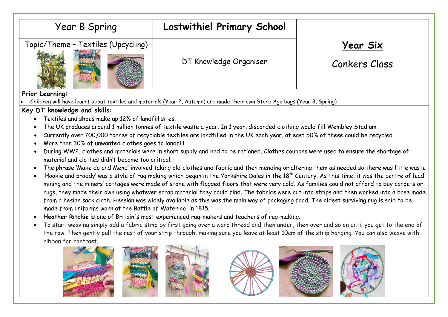

**Prior Learning:**

• Children will have learnt about textiles and materials (Year 2, Autumn) and made their own Stone Age bags (Year 3, Spring)

## **Key DT knowledge and skills:**

- Textiles and shoes make up 12% of landfill sites.
- The UK produces around 1 million tonnes of textile waste a year. In 1 year, discarded clothing would fill Wembley Stadium
- Currently over 700,000 tonnes of recyclable textiles are landfilled in the UK each year, at east 50% of these could be recycled
- More than 30% of unwanted clothes goes to landfill
- During WW2, clothes and materials were in short supply and had to be rationed. Clothes coupons were used to ensure the shortage of material and clothes didn't become too critical.
- The phrase 'Make do and Mend' involved taking old clothes and fabric and then mending or altering them as needed so there was little waste
- 'Hookie and proddy' was a style of rug making which began in the Yorkshire Dales in the 18<sup>th</sup> Century. As this time, it was the centre of lead mining and the miners' cottages were made of stone with flagged floors that were very cold. As families could not afford to buy carpets or rugs, they made their own using whatever scrap material they could find. The fabrics were cut into strips and then worked into a base made from a hesian sack cloth. Hessian was widely available as this was the main way of packaging food. The oldest surviving rug is said to be made from uniforms worn at the Battle of Waterloo, in 1815.
- **Heather Ritchie** is one of Britain's most experienced rug-makers and teachers of rug-making.
- To start weaving simply add a fabric strip by first going over a warp thread and then under, then over and so on until you get to the end of the row. Then gently pull the rest of your strip through, making sure you leave at least 10cm of the strip hanging. You can also weave with ribbon for contrast.

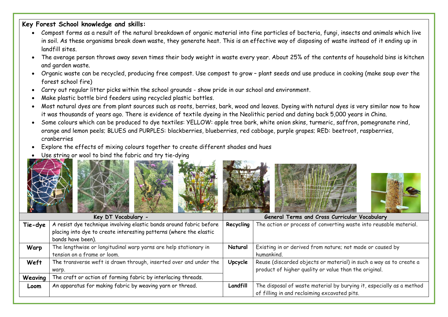## **Key Forest School knowledge and skills:**

- Compost forms as a result of the natural breakdown of organic material into fine particles of bacteria, fungi, insects and animals which live in soil. As these organisms break down waste, they generate heat. This is an effective way of disposing of waste instead of it ending up in landfill sites.
- The average person throws away seven times their body weight in waste every year. About 25% of the contents of household bins is kitchen and garden waste.
- Organic waste can be recycled, producing free compost. Use compost to grow plant seeds and use produce in cooking (make soup over the forest school fire)
- Carry out regular litter picks within the school grounds show pride in our school and environment.
- Make plastic bottle bird feeders using recycled plastic bottles.
- Most natural dyes are from plant sources such as roots, berries, bark, wood and leaves. Dyeing with natural dyes is very similar now to how it was thousands of years ago. There is evidence of textile dyeing in the Neolithic period and dating back 5,000 years in China.
- Some colours which can be produced to dye textiles: YELLOW: apple tree bark, white onion skins, turmeric, saffron, pomegranate rind, orange and lemon peels; BLUES and PURPLES: blackberries, blueberries, red cabbage, purple grapes; RED: beetroot, raspberries, cranberries
- Explore the effects of mixing colours together to create different shades and hues
- Use string or wool to bind the fabric and try tie-dying